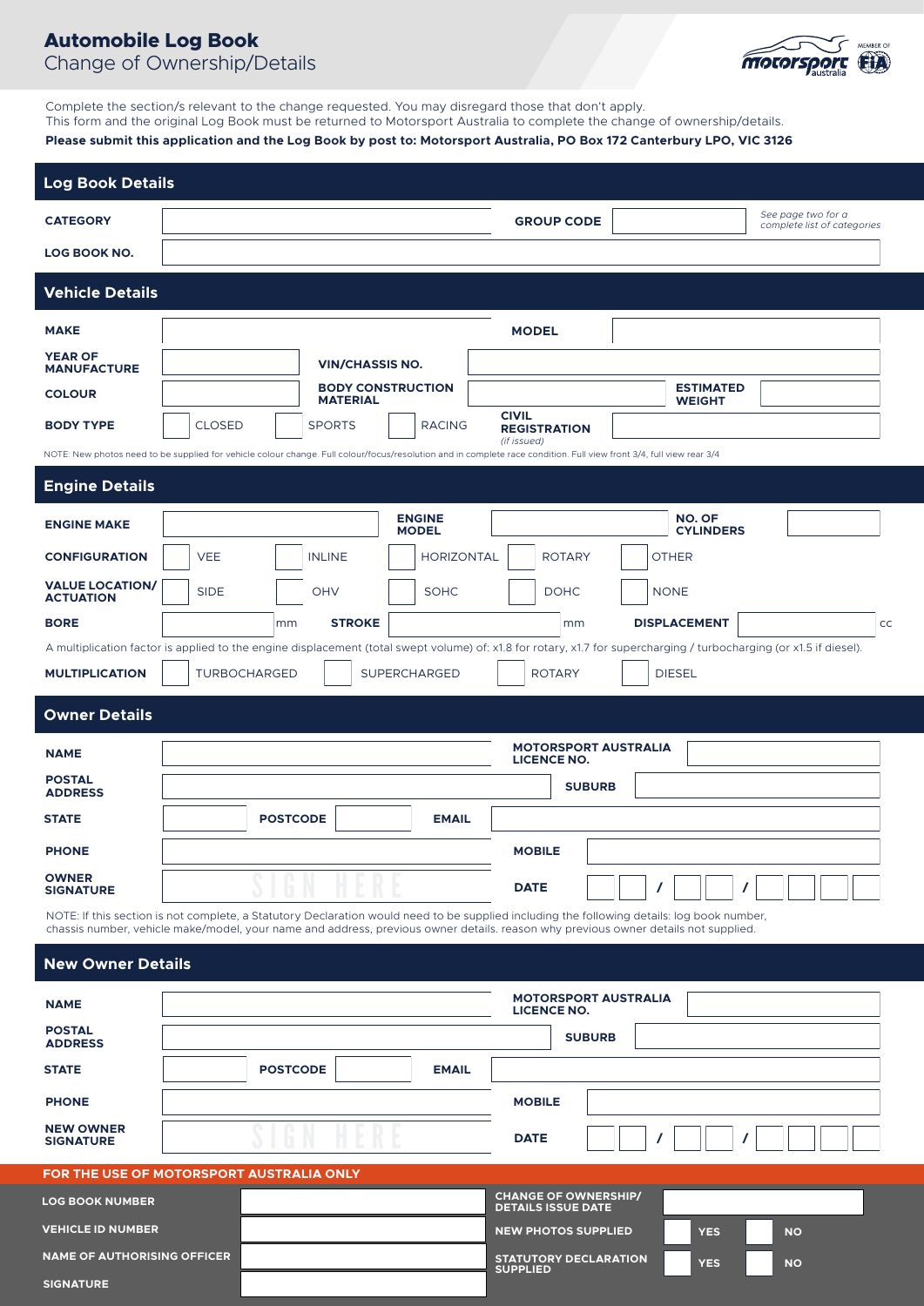## **Automobile Log Book**  Change of Ownership/Details



Complete the section/s relevant to the change requested. You may disregard those that don't apply. This form and the original Log Book must be returned to Motorsport Australia to complete the change of ownership/details.

### **Please submit this application and the Log Book by post to: Motorsport Australia, PO Box 172 Canterbury LPO, VIC 3126**

| <b>Log Book Details</b>                                                                                                                                                                                                                                                          |                                                   |                     |               |                               |                                                          |                                                                            |                                   |                                                                                                                                                                     |    |
|----------------------------------------------------------------------------------------------------------------------------------------------------------------------------------------------------------------------------------------------------------------------------------|---------------------------------------------------|---------------------|---------------|-------------------------------|----------------------------------------------------------|----------------------------------------------------------------------------|-----------------------------------|---------------------------------------------------------------------------------------------------------------------------------------------------------------------|----|
| <b>CATEGORY</b>                                                                                                                                                                                                                                                                  |                                                   |                     |               |                               | <b>GROUP CODE</b>                                        |                                                                            |                                   | See page two for a<br>complete list of categories                                                                                                                   |    |
| LOG BOOK NO.                                                                                                                                                                                                                                                                     |                                                   |                     |               |                               |                                                          |                                                                            |                                   |                                                                                                                                                                     |    |
| <b>Vehicle Details</b>                                                                                                                                                                                                                                                           |                                                   |                     |               |                               |                                                          |                                                                            |                                   |                                                                                                                                                                     |    |
| <b>MAKE</b>                                                                                                                                                                                                                                                                      |                                                   |                     |               |                               | <b>MODEL</b>                                             |                                                                            |                                   |                                                                                                                                                                     |    |
| <b>YEAR OF</b><br><b>MANUFACTURE</b>                                                                                                                                                                                                                                             | <b>VIN/CHASSIS NO.</b>                            |                     |               |                               |                                                          |                                                                            |                                   |                                                                                                                                                                     |    |
| <b>COLOUR</b>                                                                                                                                                                                                                                                                    | <b>BODY CONSTRUCTION</b><br><b>MATERIAL</b>       |                     |               |                               |                                                          |                                                                            | <b>ESTIMATED</b><br><b>WEIGHT</b> |                                                                                                                                                                     |    |
| <b>BODY TYPE</b>                                                                                                                                                                                                                                                                 | <b>CLOSED</b>                                     |                     | <b>SPORTS</b> | <b>RACING</b>                 | <b>CIVIL</b><br><b>REGISTRATION</b>                      |                                                                            |                                   |                                                                                                                                                                     |    |
| NOTE: New photos need to be supplied for vehicle colour change. Full colour/focus/resolution and in complete race condition. Full view front 3/4, full view rear 3/4                                                                                                             |                                                   |                     |               |                               | (if issued)                                              |                                                                            |                                   |                                                                                                                                                                     |    |
| <b>Engine Details</b>                                                                                                                                                                                                                                                            |                                                   |                     |               |                               |                                                          |                                                                            |                                   |                                                                                                                                                                     |    |
| <b>ENGINE MAKE</b>                                                                                                                                                                                                                                                               |                                                   |                     |               | <b>ENGINE</b><br><b>MODEL</b> |                                                          |                                                                            | <b>NO. OF</b><br><b>CYLINDERS</b> |                                                                                                                                                                     |    |
| <b>CONFIGURATION</b>                                                                                                                                                                                                                                                             | <b>VEE</b>                                        |                     | <b>INLINE</b> | <b>HORIZONTAL</b>             | <b>ROTARY</b>                                            |                                                                            | <b>OTHER</b>                      |                                                                                                                                                                     |    |
| <b>VALUE LOCATION/</b><br><b>ACTUATION</b>                                                                                                                                                                                                                                       | <b>SIDE</b>                                       |                     | OHV           | <b>SOHC</b>                   | <b>DOHC</b>                                              |                                                                            | <b>NONE</b>                       |                                                                                                                                                                     |    |
| <b>BORE</b>                                                                                                                                                                                                                                                                      |                                                   | mm                  | <b>STROKE</b> |                               |                                                          | mm                                                                         | <b>DISPLACEMENT</b>               |                                                                                                                                                                     | cc |
|                                                                                                                                                                                                                                                                                  |                                                   |                     |               |                               |                                                          |                                                                            |                                   | A multiplication factor is applied to the engine displacement (total swept volume) of: x1.8 for rotary, x1.7 for supercharging / turbocharging (or x1.5 if diesel). |    |
| <b>MULTIPLICATION</b>                                                                                                                                                                                                                                                            |                                                   | <b>TURBOCHARGED</b> |               | SUPERCHARGED                  | <b>ROTARY</b>                                            |                                                                            | <b>DIESEL</b>                     |                                                                                                                                                                     |    |
| <b>Owner Details</b>                                                                                                                                                                                                                                                             |                                                   |                     |               |                               |                                                          |                                                                            |                                   |                                                                                                                                                                     |    |
| <b>NAME</b>                                                                                                                                                                                                                                                                      | <b>MOTORSPORT AUSTRALIA</b><br><b>LICENCE NO.</b> |                     |               |                               |                                                          |                                                                            |                                   |                                                                                                                                                                     |    |
| <b>POSTAL</b><br><b>ADDRESS</b>                                                                                                                                                                                                                                                  |                                                   |                     |               |                               |                                                          | <b>SUBURB</b>                                                              |                                   |                                                                                                                                                                     |    |
| <b>STATE</b>                                                                                                                                                                                                                                                                     |                                                   | <b>POSTCODE</b>     |               | <b>EMAIL</b>                  |                                                          |                                                                            |                                   |                                                                                                                                                                     |    |
| <b>PHONE</b>                                                                                                                                                                                                                                                                     |                                                   |                     |               |                               | <b>MOBILE</b>                                            |                                                                            |                                   |                                                                                                                                                                     |    |
| <b>OWNER</b><br><b>SIGNATURE</b>                                                                                                                                                                                                                                                 |                                                   |                     |               |                               | <b>DATE</b>                                              |                                                                            |                                   |                                                                                                                                                                     |    |
| NOTE: If this section is not complete, a Statutory Declaration would need to be supplied including the following details: log book number,<br>chassis number, vehicle make/model, your name and address, previous owner details. reason why previous owner details not supplied. |                                                   |                     |               |                               |                                                          |                                                                            |                                   |                                                                                                                                                                     |    |
| <b>New Owner Details</b>                                                                                                                                                                                                                                                         |                                                   |                     |               |                               |                                                          |                                                                            |                                   |                                                                                                                                                                     |    |
|                                                                                                                                                                                                                                                                                  |                                                   |                     |               |                               |                                                          | <b>MOTORSPORT AUSTRALIA</b>                                                |                                   |                                                                                                                                                                     |    |
| <b>NAME</b><br><b>POSTAL</b>                                                                                                                                                                                                                                                     |                                                   |                     |               |                               | <b>LICENCE NO.</b>                                       |                                                                            |                                   |                                                                                                                                                                     |    |
| <b>ADDRESS</b>                                                                                                                                                                                                                                                                   |                                                   |                     |               |                               |                                                          | <b>SUBURB</b>                                                              |                                   |                                                                                                                                                                     |    |
| <b>STATE</b>                                                                                                                                                                                                                                                                     |                                                   | <b>POSTCODE</b>     |               | <b>EMAIL</b>                  |                                                          |                                                                            |                                   |                                                                                                                                                                     |    |
| <b>PHONE</b>                                                                                                                                                                                                                                                                     |                                                   |                     |               |                               | <b>MOBILE</b>                                            |                                                                            |                                   |                                                                                                                                                                     |    |
| <b>NEW OWNER</b><br><b>SIGNATURE</b>                                                                                                                                                                                                                                             |                                                   |                     |               |                               | <b>DATE</b>                                              |                                                                            |                                   |                                                                                                                                                                     |    |
| FOR THE USE OF MOTORSPORT AUSTRALIA ONLY                                                                                                                                                                                                                                         |                                                   |                     |               |                               |                                                          |                                                                            |                                   |                                                                                                                                                                     |    |
| <b>LOG BOOK NUMBER</b>                                                                                                                                                                                                                                                           |                                                   |                     |               |                               | <b>CHANGE OF OWNERSHIP/</b><br><b>DETAILS ISSUE DATE</b> |                                                                            |                                   |                                                                                                                                                                     |    |
| <b>VEHICLE ID NUMBER</b>                                                                                                                                                                                                                                                         |                                                   |                     |               |                               | <b>NEW PHOTOS SUPPLIED</b><br><b>YES</b><br><b>NO</b>    |                                                                            |                                   |                                                                                                                                                                     |    |
|                                                                                                                                                                                                                                                                                  | <b>NAME OF AUTHORISING OFFICER</b>                |                     |               |                               |                                                          | <b>STATUTORY DECLARATION</b><br><b>YES</b><br><b>NO</b><br><b>SUPPLIED</b> |                                   |                                                                                                                                                                     |    |
| <b>SIGNATURE</b>                                                                                                                                                                                                                                                                 |                                                   |                     |               |                               |                                                          |                                                                            |                                   |                                                                                                                                                                     |    |